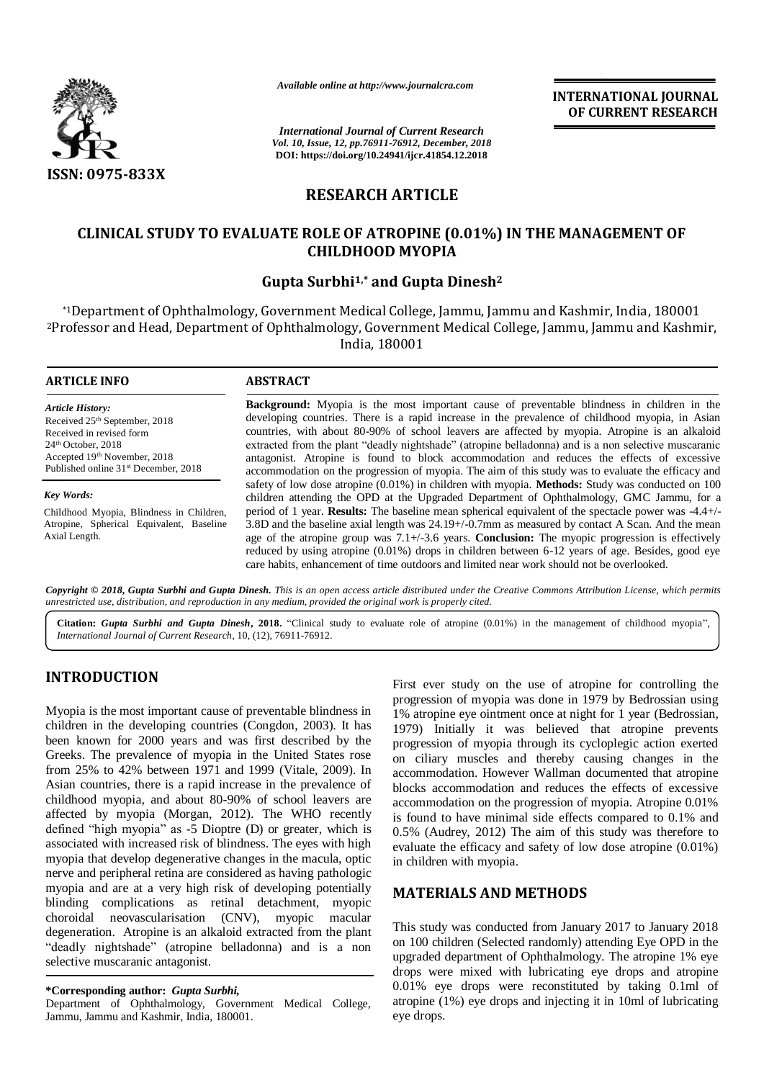

*Available online at http://www.journalcra.com*

*International Journal of Current Research Vol. 10, Issue, 12, pp.76911-76912, December, 2018* **DOI: https://doi.org/10.24941/ijcr.41854.12.2018**

**INTERNATIONAL JOURNAL OF CURRENT RESEARCH**

# **RESEARCH ARTICLE**

## **CLINICAL STUDY TO EVALUATE ROLE OF ATROPINE (0.01%) IN THE MANAGEMENT OF CHILDHOOD MYOPIA**

## **Gupta Surbhi1,\* and Gupta Dinesh<sup>2</sup>**

\*1Department of Ophthalmology, Government Medical College, Jammu, Jammu and Kashmir, India, 180001 <sup>2</sup>Professor and Head, Department of Ophthalmology, Government Medical College, Jammu, Jammu and Kashmir, India, 180001

| <b>ARTICLE INFO</b>                                           | <b>ABSTRACT</b>                                                                                                                                                                                                                                                                                                             |
|---------------------------------------------------------------|-----------------------------------------------------------------------------------------------------------------------------------------------------------------------------------------------------------------------------------------------------------------------------------------------------------------------------|
| <b>Article History:</b>                                       | <b>Background:</b> Myopia is the most important cause of preventable blindness in children in the                                                                                                                                                                                                                           |
| Received 25th September, 2018                                 | developing countries. There is a rapid increase in the prevalence of childhood myopia, in Asian                                                                                                                                                                                                                             |
| Received in revised form                                      | countries, with about 80-90% of school leavers are affected by myopia. Atropine is an alkaloid                                                                                                                                                                                                                              |
| $24th$ October, 2018                                          | extracted from the plant "deadly nightshade" (atropine belladonna) and is a non selective muscaranic                                                                                                                                                                                                                        |
| Accepted 19th November, 2018                                  | antagonist. Atropine is found to block accommodation and reduces the effects of excessive                                                                                                                                                                                                                                   |
| Published online 31 <sup>st</sup> December, 2018              | accommodation on the progression of myopia. The aim of this study was to evaluate the efficacy and                                                                                                                                                                                                                          |
| <b>Key Words:</b><br>Childhood Myopia, Blindness in Children, | safety of low dose atropine $(0.01\%)$ in children with myopia. <b>Methods:</b> Study was conducted on 100<br>children attending the OPD at the Upgraded Department of Ophthalmology, GMC Jammu, for a<br>period of 1 year. <b>Results:</b> The baseline mean spherical equivalent of the spectacle power was $-4.4+\prime$ |
| Atropine, Spherical Equivalent, Baseline                      | 3.8D and the baseline axial length was 24.19+/-0.7mm as measured by contact A Scan. And the mean                                                                                                                                                                                                                            |
| Axial Length.                                                 | age of the atropine group was $7.1 + /3.6$ years. <b>Conclusion:</b> The myopic progression is effectively                                                                                                                                                                                                                  |

Copyright © 2018, Gupta Surbhi and Gupta Dinesh. This is an open access article distributed under the Creative Commons Attribution License, which permits *unrestricted use, distribution, and reproduction in any medium, provided the original work is properly cited.*

**Citation:** *Gupta Surbhi and Gupta Dinesh***, 2018.** "Clinical study to evaluate role of atropine (0.01%) in the management of childhood myopia", *International Journal of Current Research*, 10, (12), 76911-76912.

# **INTRODUCTION**

Myopia is the most important cause of preventable blindness in children in the developing countries (Congdon, 2003). It has been known for 2000 years and was first described by the Greeks. The prevalence of myopia in the United States rose from 25% to 42% between 1971 and 1999 (Vitale, 2009). In Asian countries, there is a rapid increase in the prevalence of childhood myopia, and about 80-90% of school leavers are affected by myopia (Morgan, 2012). The WHO recently defined "high myopia" as -5 Dioptre (D) or greater, which is associated with increased risk of blindness. The eyes with high myopia that develop degenerative changes in the macula, optic nerve and peripheral retina are considered as having pathologic myopia and are at a very high risk of developing potentially blinding complications as retinal detachment, myopic choroidal neovascularisation (CNV), myopic macular degeneration. Atropine is an alkaloid extracted from the plant "deadly nightshade" (atropine belladonna) and is a non selective muscaranic antagonist.

Department of Ophthalmology, Government Medical College, Jammu, Jammu and Kashmir, India, 180001.

First ever study on the use of atropine for controlling the progression of myopia was done in 1979 by Bedrossian using 1% atropine eye ointment once at night for 1 year (Bedrossian, 1979) Initially it was believed that atropine prevents progression of myopia through its cycloplegic action exerted on ciliary muscles and thereby causing changes in the accommodation. However Wallman documented that atropine blocks accommodation and reduces the effects of excessive accommodation on the progression of myopia. Atropine 0.01% is found to have minimal side effects compared to 0.1% and 0.5% (Audrey, 2012) The aim of this study was therefore to evaluate the efficacy and safety of low dose atropine (0.01%) in children with myopia.

## **MATERIALS AND METHODS**

reduced by using atropine (0.01%) drops in children between 6-12 years of age. Besides, good eye

care habits, enhancement of time outdoors and limited near work should not be overlooked.

This study was conducted from January 2017 to January 2018 on 100 children (Selected randomly) attending Eye OPD in the upgraded department of Ophthalmology. The atropine 1% eye drops were mixed with lubricating eye drops and atropine 0.01% eye drops were reconstituted by taking 0.1ml of atropine (1%) eye drops and injecting it in 10ml of lubricating eye drops.

**<sup>\*</sup>Corresponding author:** *Gupta Surbhi,*